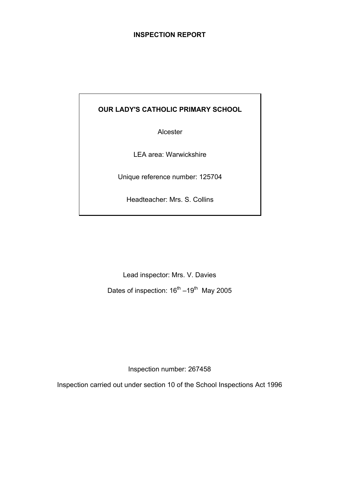## **INSPECTION REPORT**

## **OUR LADY'S CATHOLIC PRIMARY SCHOOL**

Alcester

LEA area: Warwickshire

Unique reference number: 125704

Headteacher: Mrs. S. Collins

Lead inspector: Mrs. V. Davies Dates of inspection:  $16^{th} - 19^{th}$  May 2005

Inspection number: 267458

Inspection carried out under section 10 of the School Inspections Act 1996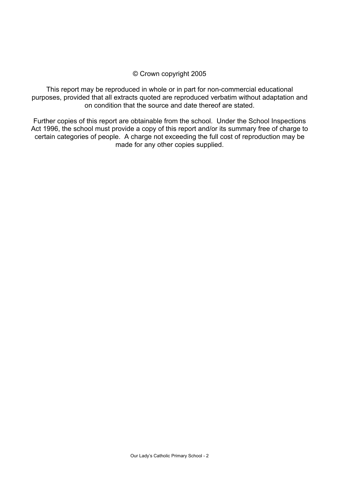#### © Crown copyright 2005

This report may be reproduced in whole or in part for non-commercial educational purposes, provided that all extracts quoted are reproduced verbatim without adaptation and on condition that the source and date thereof are stated.

Further copies of this report are obtainable from the school. Under the School Inspections Act 1996, the school must provide a copy of this report and/or its summary free of charge to certain categories of people. A charge not exceeding the full cost of reproduction may be made for any other copies supplied.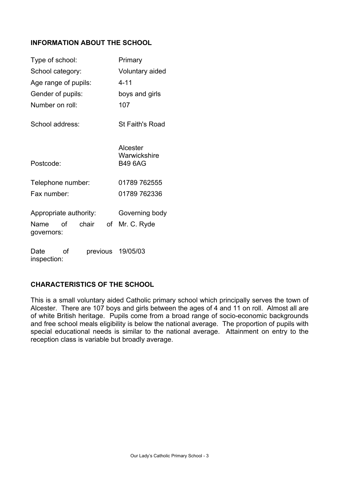## **INFORMATION ABOUT THE SCHOOL**

| Type of school:                       | Primary         |                                            |  |
|---------------------------------------|-----------------|--------------------------------------------|--|
| School category:                      | Voluntary aided |                                            |  |
| Age range of pupils:                  |                 | $4 - 11$                                   |  |
| Gender of pupils:                     |                 | boys and girls                             |  |
| Number on roll:                       |                 | 107                                        |  |
| School address:                       |                 | St Faith's Road                            |  |
| Postcode:                             |                 | Alcester<br>Warwickshire<br><b>B49 6AG</b> |  |
| Telephone number:                     |                 | 01789 762555                               |  |
| Fax number:                           |                 | 01789 762336                               |  |
| Appropriate authority:                |                 | Governing body                             |  |
| chair<br>οf<br>Name<br>governors:     | οf              | Mr. C. Ryde                                |  |
| Date<br>οf<br>previous<br>inspection: |                 | 19/05/03                                   |  |

## **CHARACTERISTICS OF THE SCHOOL**

This is a small voluntary aided Catholic primary school which principally serves the town of Alcester. There are 107 boys and girls between the ages of 4 and 11 on roll. Almost all are of white British heritage. Pupils come from a broad range of socio-economic backgrounds and free school meals eligibility is below the national average. The proportion of pupils with special educational needs is similar to the national average. Attainment on entry to the reception class is variable but broadly average.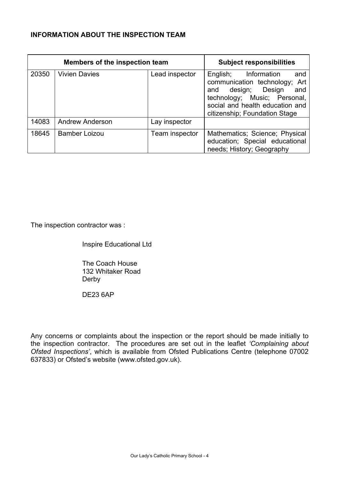## **INFORMATION ABOUT THE INSPECTION TEAM**

| <b>Members of the inspection team</b> |                        | <b>Subject responsibilities</b> |                                                                                                                                                                                                  |
|---------------------------------------|------------------------|---------------------------------|--------------------------------------------------------------------------------------------------------------------------------------------------------------------------------------------------|
| 20350                                 | <b>Vivien Davies</b>   | Lead inspector                  | English; Information<br>and<br>communication technology; Art<br>design; Design<br>and<br>and<br>technology; Music; Personal,<br>social and health education and<br>citizenship; Foundation Stage |
| 14083                                 | <b>Andrew Anderson</b> | Lay inspector                   |                                                                                                                                                                                                  |
| 18645                                 | <b>Bamber Loizou</b>   | Team inspector                  | Mathematics; Science; Physical<br>education; Special educational<br>needs; History; Geography                                                                                                    |

The inspection contractor was :

Inspire Educational Ltd

 The Coach House 132 Whitaker Road Derby

DE23 6AP

Any concerns or complaints about the inspection or the report should be made initially to the inspection contractor. The procedures are set out in the leaflet *'Complaining about Ofsted Inspections'*, which is available from Ofsted Publications Centre (telephone 07002 637833) or Ofsted's website (www.ofsted.gov.uk).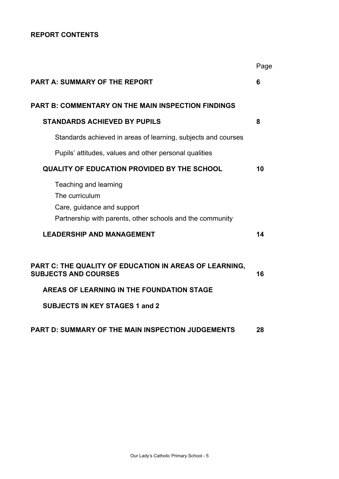## **REPORT CONTENTS**

|                                                                                                                                                                             | Page |
|-----------------------------------------------------------------------------------------------------------------------------------------------------------------------------|------|
| <b>PART A: SUMMARY OF THE REPORT</b>                                                                                                                                        | 6    |
| <b>PART B: COMMENTARY ON THE MAIN INSPECTION FINDINGS</b>                                                                                                                   |      |
| <b>STANDARDS ACHIEVED BY PUPILS</b>                                                                                                                                         | 8    |
| Standards achieved in areas of learning, subjects and courses                                                                                                               |      |
| Pupils' attitudes, values and other personal qualities                                                                                                                      |      |
| QUALITY OF EDUCATION PROVIDED BY THE SCHOOL                                                                                                                                 | 10   |
| Teaching and learning<br>The curriculum<br>Care, guidance and support<br>Partnership with parents, other schools and the community                                          |      |
| <b>LEADERSHIP AND MANAGEMENT</b>                                                                                                                                            | 14   |
| PART C: THE QUALITY OF EDUCATION IN AREAS OF LEARNING,<br><b>SUBJECTS AND COURSES</b><br>AREAS OF LEARNING IN THE FOUNDATION STAGE<br><b>SUBJECTS IN KEY STAGES 1 and 2</b> | 16   |
| <b>PART D: SUMMARY OF THE MAIN INSPECTION JUDGEMENTS</b>                                                                                                                    | 28   |
|                                                                                                                                                                             |      |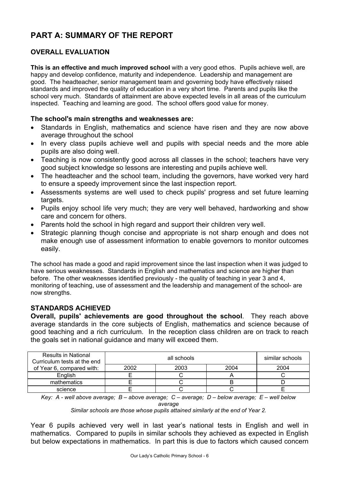# **PART A: SUMMARY OF THE REPORT**

## **OVERALL EVALUATION**

**This is an effective and much improved school** with a very good ethos. Pupils achieve well, are happy and develop confidence, maturity and independence. Leadership and management are good. The headteacher, senior management team and governing body have effectively raised standards and improved the quality of education in a very short time. Parents and pupils like the school very much. Standards of attainment are above expected levels in all areas of the curriculum inspected. Teaching and learning are good. The school offers good value for money.

#### **The school's main strengths and weaknesses are:**

- Standards in English, mathematics and science have risen and they are now above average throughout the school
- In every class pupils achieve well and pupils with special needs and the more able pupils are also doing well.
- Teaching is now consistently good across all classes in the school; teachers have very good subject knowledge so lessons are interesting and pupils achieve well.
- The headteacher and the school team, including the governors, have worked very hard to ensure a speedy improvement since the last inspection report.
- Assessments systems are well used to check pupils' progress and set future learning targets.
- Pupils enjoy school life very much; they are very well behaved, hardworking and show care and concern for others.
- Parents hold the school in high regard and support their children very well.
- Strategic planning though concise and appropriate is not sharp enough and does not make enough use of assessment information to enable governors to monitor outcomes easily.

The school has made a good and rapid improvement since the last inspection when it was judged to have serious weaknesses. Standards in English and mathematics and science are higher than before. The other weaknesses identified previously - the quality of teaching in year 3 and 4, monitoring of teaching, use of assessment and the leadership and management of the school- are now strengths.

## **STANDARDS ACHIEVED**

**Overall, pupils' achievements are good throughout the school**. They reach above average standards in the core subjects of English, mathematics and science because of good teaching and a rich curriculum. In the reception class children are on track to reach the goals set in national guidance and many will exceed them.

| <b>Results in National</b><br>Curriculum tests at the end | all schools |      |  | similar schools |
|-----------------------------------------------------------|-------------|------|--|-----------------|
| of Year 6, compared with:                                 | 2002        | 2004 |  |                 |
| Enalish                                                   |             |      |  |                 |
| mathematics                                               |             |      |  |                 |
| science                                                   |             |      |  |                 |

*Key: A - well above average; B – above average; C – average; D – below average; E – well below average* 

*Similar schools are those whose pupils attained similarly at the end of Year 2.* 

Year 6 pupils achieved very well in last year's national tests in English and well in mathematics. Compared to pupils in similar schools they achieved as expected in English but below expectations in mathematics. In part this is due to factors which caused concern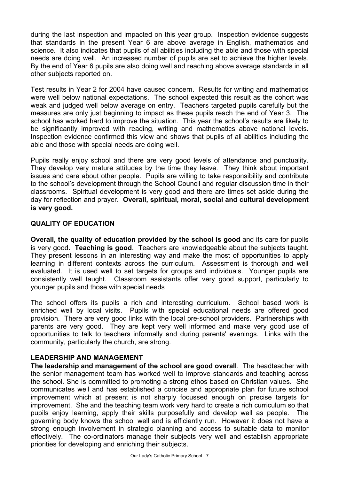during the last inspection and impacted on this year group. Inspection evidence suggests that standards in the present Year 6 are above average in English, mathematics and science. It also indicates that pupils of all abilities including the able and those with special needs are doing well. An increased number of pupils are set to achieve the higher levels. By the end of Year 6 pupils are also doing well and reaching above average standards in all other subjects reported on.

Test results in Year 2 for 2004 have caused concern. Results for writing and mathematics were well below national expectations. The school expected this result as the cohort was weak and judged well below average on entry. Teachers targeted pupils carefully but the measures are only just beginning to impact as these pupils reach the end of Year 3. The school has worked hard to improve the situation. This year the school's results are likely to be significantly improved with reading, writing and mathematics above national levels. Inspection evidence confirmed this view and shows that pupils of all abilities including the able and those with special needs are doing well.

Pupils really enjoy school and there are very good levels of attendance and punctuality. They develop very mature attitudes by the time they leave. They think about important issues and care about other people. Pupils are willing to take responsibility and contribute to the school's development through the School Council and regular discussion time in their classrooms. Spiritual development is very good and there are times set aside during the day for reflection and prayer. **Overall, spiritual, moral, social and cultural development is very good.** 

## **QUALITY OF EDUCATION**

**Overall, the quality of education provided by the school is good** and its care for pupils is very good**. Teaching is good**. Teachers are knowledgeable about the subjects taught. They present lessons in an interesting way and make the most of opportunities to apply learning in different contexts across the curriculum. Assessment is thorough and well evaluated. It is used well to set targets for groups and individuals. Younger pupils are consistently well taught. Classroom assistants offer very good support, particularly to younger pupils and those with special needs

The school offers its pupils a rich and interesting curriculum. School based work is enriched well by local visits. Pupils with special educational needs are offered good provision. There are very good links with the local pre-school providers. Partnerships with parents are very good. They are kept very well informed and make very good use of opportunities to talk to teachers informally and during parents' evenings. Links with the community, particularly the church, are strong.

#### **LEADERSHIP AND MANAGEMENT**

**The leadership and management of the school are good overall**. The headteacher with the senior management team has worked well to improve standards and teaching across the school. She is committed to promoting a strong ethos based on Christian values. She communicates well and has established a concise and appropriate plan for future school improvement which at present is not sharply focussed enough on precise targets for improvement. She and the teaching team work very hard to create a rich curriculum so that pupils enjoy learning, apply their skills purposefully and develop well as people. The governing body knows the school well and is efficiently run. However it does not have a strong enough involvement in strategic planning and access to suitable data to monitor effectively. The co-ordinators manage their subjects very well and establish appropriate priorities for developing and enriching their subjects.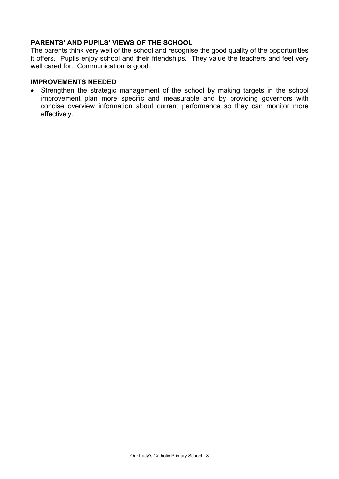## **PARENTS' AND PUPILS' VIEWS OF THE SCHOOL**

The parents think very well of the school and recognise the good quality of the opportunities it offers. Pupils enjoy school and their friendships. They value the teachers and feel very well cared for. Communication is good.

#### **IMPROVEMENTS NEEDED**

• Strengthen the strategic management of the school by making targets in the school improvement plan more specific and measurable and by providing governors with concise overview information about current performance so they can monitor more effectively.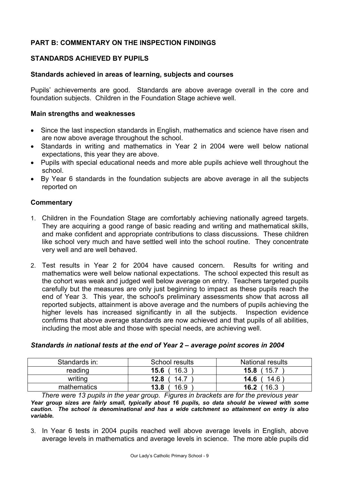## **PART B: COMMENTARY ON THE INSPECTION FINDINGS**

## **STANDARDS ACHIEVED BY PUPILS**

#### **Standards achieved in areas of learning, subjects and courses**

Pupils' achievements are good. Standards are above average overall in the core and foundation subjects. Children in the Foundation Stage achieve well.

#### **Main strengths and weaknesses**

- Since the last inspection standards in English, mathematics and science have risen and are now above average throughout the school.
- Standards in writing and mathematics in Year 2 in 2004 were well below national expectations, this year they are above.
- Pupils with special educational needs and more able pupils achieve well throughout the school.
- By Year 6 standards in the foundation subjects are above average in all the subjects reported on

#### **Commentary**

- 1. Children in the Foundation Stage are comfortably achieving nationally agreed targets. They are acquiring a good range of basic reading and writing and mathematical skills, and make confident and appropriate contributions to class discussions. These children like school very much and have settled well into the school routine. They concentrate very well and are well behaved.
- 2. Test results in Year 2 for 2004 have caused concern. Results for writing and mathematics were well below national expectations. The school expected this result as the cohort was weak and judged well below average on entry. Teachers targeted pupils carefully but the measures are only just beginning to impact as these pupils reach the end of Year 3. This year, the school's preliminary assessments show that across all reported subjects, attainment is above average and the numbers of pupils achieving the higher levels has increased significantly in all the subjects. Inspection evidence confirms that above average standards are now achieved and that pupils of all abilities, including the most able and those with special needs, are achieving well.

#### *Standards in national tests at the end of Year 2 – average point scores in 2004*

| Standards in: | School results | National results |
|---------------|----------------|------------------|
| reading       | 16.3<br>15.6   | 15.8<br>15.7     |
| writing       | 14.7<br>12.8   | 14.6<br>14.6     |
| mathematics   | 16.9<br>13.8   | 16.3<br>16.2     |

*There were 13 pupils in the year group. Figures in brackets are for the previous year Year group sizes are fairly small, typically about 16 pupils, so data should be viewed with some caution. The school is denominational and has a wide catchment so attainment on entry is also variable.* 

3. In Year 6 tests in 2004 pupils reached well above average levels in English, above average levels in mathematics and average levels in science. The more able pupils did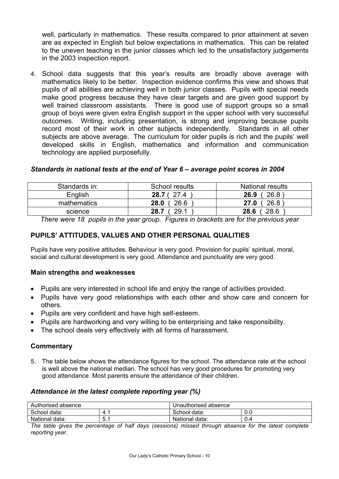well, particularly in mathematics. These results compared to prior attainment at seven are as expected in English but below expectations in mathematics. This can be related to the uneven teaching in the junior classes which led to the unsatisfactory judgements in the 2003 inspection report.

4. School data suggests that this year's results are broadly above average with mathematics likely to be better. Inspection evidence confirms this view and shows that pupils of all abilities are achieving well in both junior classes. Pupils with special needs make good progress because they have clear targets and are given good support by well trained classroom assistants. There is good use of support groups so a small group of boys were given extra English support in the upper school with very successful outcomes. Writing, including presentation, is strong and improving because pupils record most of their work in other subjects independently. Standards in all other subjects are above average. The curriculum for older pupils is rich and the pupils' well developed skills in English, mathematics and information and communication technology are applied purposefully.

| Standards in: | School results | <b>National results</b> |
|---------------|----------------|-------------------------|
| English       | 27.4<br>28.7(  | 26.8<br>26.9            |
| mathematics   | 26.6<br>28.0   | 26.8<br>27.0            |
| science       | 29.1<br>28.7   | 28.6<br>28.6            |

#### *Standards in national tests at the end of Year 6 – average point scores in 2004*

*There were 18 pupils in the year group. Figures in brackets are for the previous year* 

## **PUPILS' ATTITUDES, VALUES AND OTHER PERSONAL QUALITIES**

Pupils have very positive attitudes. Behaviour is very good. Provision for pupils' spiritual, moral, social and cultural development is very good. Attendance and punctuality are very good.

#### **Main strengths and weaknesses**

- Pupils are very interested in school life and enjoy the range of activities provided.
- Pupils have very good relationships with each other and show care and concern for others.
- Pupils are very confident and have high self-esteem.
- Pupils are hardworking and very willing to be enterprising and take responsibility.
- The school deals very effectively with all forms of harassment.

#### **Commentary**

5. The table below shows the attendance figures for the school. The attendance rate at the school is well above the national median. The school has very good procedures for promoting very good attendance. Most parents ensure the attendance of their children.

#### *Attendance in the latest complete reporting year (%)*

| Authorised absence |              | Unauthorised absence |     |  |
|--------------------|--------------|----------------------|-----|--|
| School data:       | −            | School data:         | 0.0 |  |
| National data:     | . .<br>ັບ. ເ | National data:       | υ.4 |  |

*The table gives the percentage of half days (sessions) missed through absence for the latest complete reporting year.*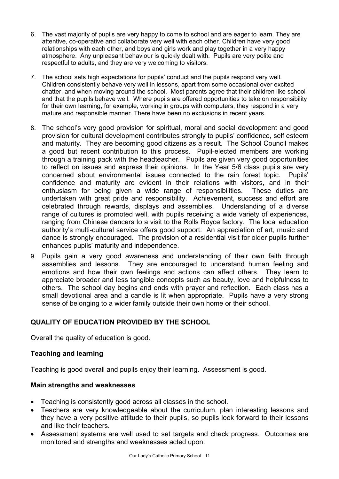- 6. The vast majority of pupils are very happy to come to school and are eager to learn. They are attentive, co-operative and collaborate very well with each other. Children have very good relationships with each other, and boys and girls work and play together in a very happy atmosphere. Any unpleasant behaviour is quickly dealt with. Pupils are very polite and respectful to adults, and they are very welcoming to visitors.
- 7. The school sets high expectations for pupils' conduct and the pupils respond very well. Children consistently behave very well in lessons, apart from some occasional over excited chatter, and when moving around the school. Most parents agree that their children like school and that the pupils behave well. Where pupils are offered opportunities to take on responsibility for their own learning, for example, working in groups with computers, they respond in a very mature and responsible manner. There have been no exclusions in recent years.
- 8. The school's very good provision for spiritual, moral and social development and good provision for cultural development contributes strongly to pupils' confidence, self esteem and maturity. They are becoming good citizens as a result. The School Council makes a good but recent contribution to this process. Pupil-elected members are working through a training pack with the headteacher. Pupils are given very good opportunities to reflect on issues and express their opinions. In the Year 5/6 class pupils are very concerned about environmental issues connected to the rain forest topic. Pupils' confidence and maturity are evident in their relations with visitors, and in their enthusiasm for being given a wide range of responsibilities. These duties are undertaken with great pride and responsibility. Achievement, success and effort are celebrated through rewards, displays and assemblies. Understanding of a diverse range of cultures is promoted well, with pupils receiving a wide variety of experiences, ranging from Chinese dancers to a visit to the Rolls Royce factory. The local education authority's multi-cultural service offers good support. An appreciation of art, music and dance is strongly encouraged. The provision of a residential visit for older pupils further enhances pupils' maturity and independence.
- 9. Pupils gain a very good awareness and understanding of their own faith through assemblies and lessons. They are encouraged to understand human feeling and emotions and how their own feelings and actions can affect others. They learn to appreciate broader and less tangible concepts such as beauty, love and helpfulness to others. The school day begins and ends with prayer and reflection. Each class has a small devotional area and a candle is lit when appropriate. Pupils have a very strong sense of belonging to a wider family outside their own home or their school.

## **QUALITY OF EDUCATION PROVIDED BY THE SCHOOL**

Overall the quality of education is good.

## **Teaching and learning**

Teaching is good overall and pupils enjoy their learning. Assessment is good.

#### **Main strengths and weaknesses**

- Teaching is consistently good across all classes in the school.
- Teachers are very knowledgeable about the curriculum, plan interesting lessons and they have a very positive attitude to their pupils, so pupils look forward to their lessons and like their teachers.
- Assessment systems are well used to set targets and check progress. Outcomes are monitored and strengths and weaknesses acted upon.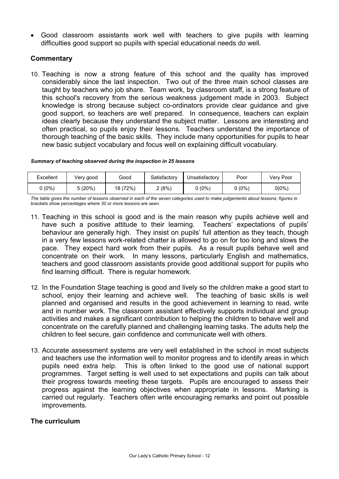• Good classroom assistants work well with teachers to give pupils with learning difficulties good support so pupils with special educational needs do well.

#### **Commentary**

10. Teaching is now a strong feature of this school and the quality has improved considerably since the last inspection. Two out of the three main school classes are taught by teachers who job share. Team work, by classroom staff, is a strong feature of this school's recovery from the serious weakness judgement made in 2003. Subject knowledge is strong because subject co-ordinators provide clear guidance and give good support, so teachers are well prepared. In consequence, teachers can explain ideas clearly because they understand the subject matter. Lessons are interesting and often practical, so pupils enjoy their lessons. Teachers understand the importance of thorough teaching of the basic skills. They include many opportunities for pupils to hear new basic subject vocabulary and focus well on explaining difficult vocabulary.

#### *Summary of teaching observed during the inspection in 25 lessons*

| Excellent | Very good | Good     | Satisfactory | Unsatisfactory | Poor   | Verv Poor |
|-----------|-----------|----------|--------------|----------------|--------|-----------|
| $(0\%)$   | 5(20%)    | 18 (72%) | $2(8\%)$     | $0(0\%)$       | 0 (0%) | $0(0\%)$  |

*The table gives the number of lessons observed in each of the seven categories used to make judgements about lessons; figures in brackets show percentages where 30 or more lessons are seen.* 

- 11. Teaching in this school is good and is the main reason why pupils achieve well and have such a positive attitude to their learning. Teachers' expectations of pupils' behaviour are generally high. They insist on pupils' full attention as they teach, though in a very few lessons work-related chatter is allowed to go on for too long and slows the pace. They expect hard work from their pupils. As a result pupils behave well and concentrate on their work. In many lessons, particularly English and mathematics, teachers and good classroom assistants provide good additional support for pupils who find learning difficult. There is regular homework.
- 12. In the Foundation Stage teaching is good and lively so the children make a good start to school, enjoy their learning and achieve well. The teaching of basic skills is well planned and organised and results in the good achievement in learning to read, write and in number work. The classroom assistant effectively supports individual and group activities and makes a significant contribution to helping the children to behave well and concentrate on the carefully planned and challenging learning tasks. The adults help the children to feel secure, gain confidence and communicate well with others.
- 13. Accurate assessment systems are very well established in the school in most subjects and teachers use the information well to monitor progress and to identify areas in which pupils need extra help. This is often linked to the good use of national support programmes. Target setting is well used to set expectations and pupils can talk about their progress towards meeting these targets. Pupils are encouraged to assess their progress against the learning objectives when appropriate in lessons. Marking is carried out regularly. Teachers often write encouraging remarks and point out possible improvements.

#### **The curriculum**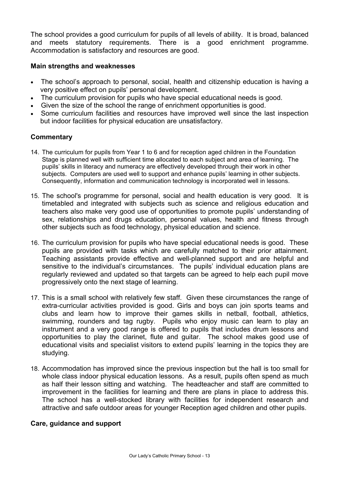The school provides a good curriculum for pupils of all levels of ability. It is broad, balanced and meets statutory requirements. There is a good enrichment programme. Accommodation is satisfactory and resources are good.

#### **Main strengths and weaknesses**

- The school's approach to personal, social, health and citizenship education is having a very positive effect on pupils' personal development.
- The curriculum provision for pupils who have special educational needs is good.
- Given the size of the school the range of enrichment opportunities is good.
- Some curriculum facilities and resources have improved well since the last inspection but indoor facilities for physical education are unsatisfactory.

#### **Commentary**

- 14. The curriculum for pupils from Year 1 to 6 and for reception aged children in the Foundation Stage is planned well with sufficient time allocated to each subject and area of learning. The pupils' skills in literacy and numeracy are effectively developed through their work in other subjects. Computers are used well to support and enhance pupils' learning in other subjects. Consequently, information and communication technology is incorporated well in lessons.
- 15. The school's programme for personal, social and health education is very good. It is timetabled and integrated with subjects such as science and religious education and teachers also make very good use of opportunities to promote pupils' understanding of sex, relationships and drugs education, personal values, health and fitness through other subjects such as food technology, physical education and science.
- 16. The curriculum provision for pupils who have special educational needs is good. These pupils are provided with tasks which are carefully matched to their prior attainment. Teaching assistants provide effective and well-planned support and are helpful and sensitive to the individual's circumstances. The pupils' individual education plans are regularly reviewed and updated so that targets can be agreed to help each pupil move progressively onto the next stage of learning.
- 17. This is a small school with relatively few staff. Given these circumstances the range of extra-curricular activities provided is good. Girls and boys can join sports teams and clubs and learn how to improve their games skills in netball, football, athletics, swimming, rounders and tag rugby. Pupils who enjoy music can learn to play an instrument and a very good range is offered to pupils that includes drum lessons and opportunities to play the clarinet, flute and guitar. The school makes good use of educational visits and specialist visitors to extend pupils' learning in the topics they are studying.
- 18. Accommodation has improved since the previous inspection but the hall is too small for whole class indoor physical education lessons. As a result, pupils often spend as much as half their lesson sitting and watching. The headteacher and staff are committed to improvement in the facilities for learning and there are plans in place to address this. The school has a well-stocked library with facilities for independent research and attractive and safe outdoor areas for younger Reception aged children and other pupils.

#### **Care, guidance and support**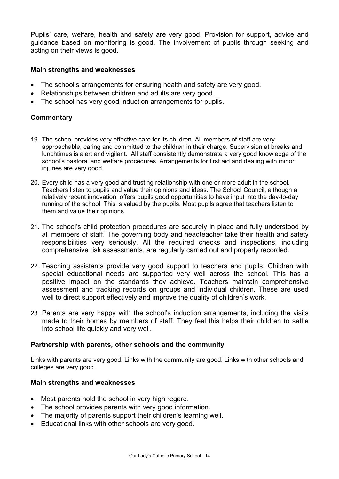Pupils' care, welfare, health and safety are very good. Provision for support, advice and guidance based on monitoring is good. The involvement of pupils through seeking and acting on their views is good.

### **Main strengths and weaknesses**

- The school's arrangements for ensuring health and safety are very good.
- Relationships between children and adults are very good.
- The school has very good induction arrangements for pupils.

## **Commentary**

- 19. The school provides very effective care for its children. All members of staff are very approachable, caring and committed to the children in their charge. Supervision at breaks and lunchtimes is alert and vigilant. All staff consistently demonstrate a very good knowledge of the school's pastoral and welfare procedures. Arrangements for first aid and dealing with minor injuries are very good.
- 20. Every child has a very good and trusting relationship with one or more adult in the school. Teachers listen to pupils and value their opinions and ideas. The School Council, although a relatively recent innovation, offers pupils good opportunities to have input into the day-to-day running of the school. This is valued by the pupils. Most pupils agree that teachers listen to them and value their opinions.
- 21. The school's child protection procedures are securely in place and fully understood by all members of staff. The governing body and headteacher take their health and safety responsibilities very seriously. All the required checks and inspections, including comprehensive risk assessments, are regularly carried out and properly recorded.
- 22. Teaching assistants provide very good support to teachers and pupils. Children with special educational needs are supported very well across the school. This has a positive impact on the standards they achieve. Teachers maintain comprehensive assessment and tracking records on groups and individual children. These are used well to direct support effectively and improve the quality of children's work.
- 23. Parents are very happy with the school's induction arrangements, including the visits made to their homes by members of staff. They feel this helps their children to settle into school life quickly and very well.

#### **Partnership with parents, other schools and the community**

Links with parents are very good. Links with the community are good. Links with other schools and colleges are very good.

#### **Main strengths and weaknesses**

- Most parents hold the school in very high regard.
- The school provides parents with very good information.
- The majority of parents support their children's learning well.
- Educational links with other schools are very good.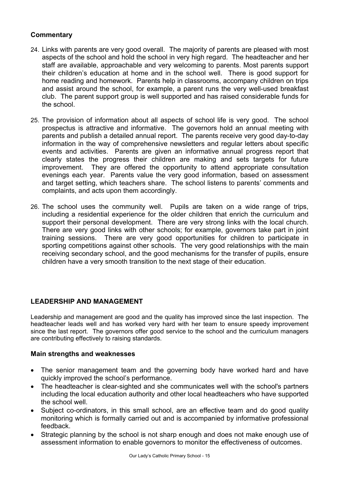## **Commentary**

- 24. Links with parents are very good overall. The majority of parents are pleased with most aspects of the school and hold the school in very high regard. The headteacher and her staff are available, approachable and very welcoming to parents. Most parents support their children's education at home and in the school well. There is good support for home reading and homework. Parents help in classrooms, accompany children on trips and assist around the school, for example, a parent runs the very well-used breakfast club. The parent support group is well supported and has raised considerable funds for the school.
- 25. The provision of information about all aspects of school life is very good. The school prospectus is attractive and informative. The governors hold an annual meeting with parents and publish a detailed annual report. The parents receive very good day-to-day information in the way of comprehensive newsletters and regular letters about specific events and activities. Parents are given an informative annual progress report that clearly states the progress their children are making and sets targets for future improvement. They are offered the opportunity to attend appropriate consultation evenings each year. Parents value the very good information, based on assessment and target setting, which teachers share. The school listens to parents' comments and complaints, and acts upon them accordingly.
- 26. The school uses the community well. Pupils are taken on a wide range of trips, including a residential experience for the older children that enrich the curriculum and support their personal development. There are very strong links with the local church. There are very good links with other schools; for example, governors take part in joint training sessions. There are very good opportunities for children to participate in sporting competitions against other schools. The very good relationships with the main receiving secondary school, and the good mechanisms for the transfer of pupils, ensure children have a very smooth transition to the next stage of their education.

## **LEADERSHIP AND MANAGEMENT**

Leadership and management are good and the quality has improved since the last inspection. The headteacher leads well and has worked very hard with her team to ensure speedy improvement since the last report. The governors offer good service to the school and the curriculum managers are contributing effectively to raising standards.

#### **Main strengths and weaknesses**

- The senior management team and the governing body have worked hard and have quickly improved the school's performance.
- The headteacher is clear-sighted and she communicates well with the school's partners including the local education authority and other local headteachers who have supported the school well.
- Subject co-ordinators, in this small school, are an effective team and do good quality monitoring which is formally carried out and is accompanied by informative professional feedback.
- Strategic planning by the school is not sharp enough and does not make enough use of assessment information to enable governors to monitor the effectiveness of outcomes.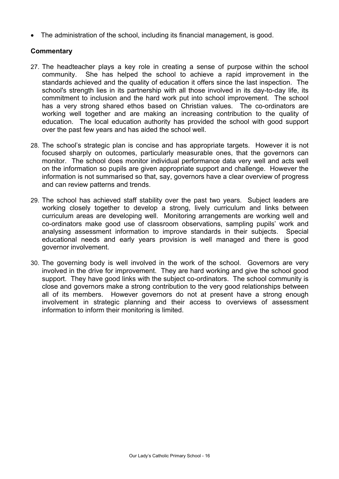• The administration of the school, including its financial management, is good.

#### **Commentary**

- 27. The headteacher plays a key role in creating a sense of purpose within the school community. She has helped the school to achieve a rapid improvement in the standards achieved and the quality of education it offers since the last inspection. The school's strength lies in its partnership with all those involved in its day-to-day life, its commitment to inclusion and the hard work put into school improvement. The school has a very strong shared ethos based on Christian values. The co-ordinators are working well together and are making an increasing contribution to the quality of education. The local education authority has provided the school with good support over the past few years and has aided the school well.
- 28. The school's strategic plan is concise and has appropriate targets. However it is not focused sharply on outcomes, particularly measurable ones, that the governors can monitor. The school does monitor individual performance data very well and acts well on the information so pupils are given appropriate support and challenge. However the information is not summarised so that, say, governors have a clear overview of progress and can review patterns and trends.
- 29. The school has achieved staff stability over the past two years. Subject leaders are working closely together to develop a strong, lively curriculum and links between curriculum areas are developing well. Monitoring arrangements are working well and co-ordinators make good use of classroom observations, sampling pupils' work and analysing assessment information to improve standards in their subjects. Special educational needs and early years provision is well managed and there is good governor involvement.
- 30. The governing body is well involved in the work of the school. Governors are very involved in the drive for improvement. They are hard working and give the school good support. They have good links with the subject co-ordinators. The school community is close and governors make a strong contribution to the very good relationships between all of its members. However governors do not at present have a strong enough involvement in strategic planning and their access to overviews of assessment information to inform their monitoring is limited.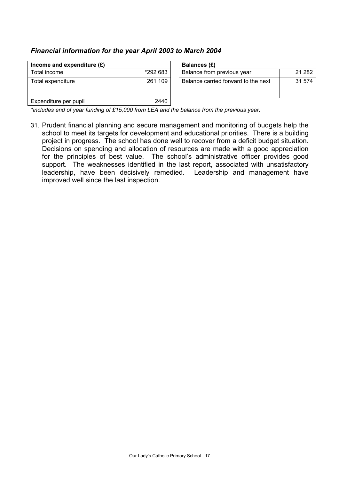## *Financial information for the year April 2003 to March 2004*

| Income and expenditure $(E)$ |          | <b>Balances (£)</b>                 |        |
|------------------------------|----------|-------------------------------------|--------|
| Total income                 | *292 683 | Balance from previous year          | 21 282 |
| Total expenditure            | 261 109  | Balance carried forward to the next | 31 574 |
| Expenditure per pupil        | 2440     |                                     |        |

| Balances (£)                        |        |
|-------------------------------------|--------|
| Balance from previous year          | 21 282 |
| Balance carried forward to the next | 31 574 |

*\*includes end of year funding of £15,000 from LEA and the balance from the previous year.* 

31. Prudent financial planning and secure management and monitoring of budgets help the school to meet its targets for development and educational priorities. There is a building project in progress. The school has done well to recover from a deficit budget situation. Decisions on spending and allocation of resources are made with a good appreciation for the principles of best value. The school's administrative officer provides good support. The weaknesses identified in the last report, associated with unsatisfactory leadership, have been decisively remedied. Leadership and management have improved well since the last inspection.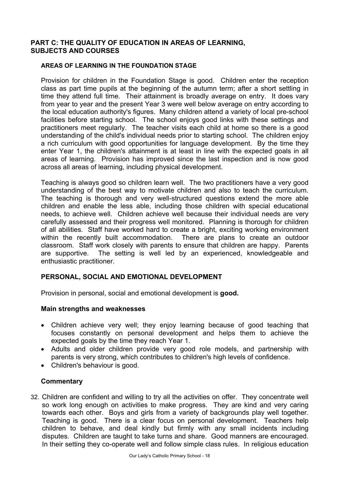## **PART C: THE QUALITY OF EDUCATION IN AREAS OF LEARNING, SUBJECTS AND COURSES**

#### **AREAS OF LEARNING IN THE FOUNDATION STAGE**

Provision for children in the Foundation Stage is good. Children enter the reception class as part time pupils at the beginning of the autumn term; after a short settling in time they attend full time. Their attainment is broadly average on entry. It does vary from year to year and the present Year 3 were well below average on entry according to the local education authority's figures. Many children attend a variety of local pre-school facilities before starting school. The school enjoys good links with these settings and practitioners meet regularly. The teacher visits each child at home so there is a good understanding of the child's individual needs prior to starting school. The children enjoy a rich curriculum with good opportunities for language development. By the time they enter Year 1, the children's attainment is at least in line with the expected goals in all areas of learning. Provision has improved since the last inspection and is now good across all areas of learning, including physical development.

Teaching is always good so children learn well. The two practitioners have a very good understanding of the best way to motivate children and also to teach the curriculum. The teaching is thorough and very well-structured questions extend the more able children and enable the less able, including those children with special educational needs, to achieve well. Children achieve well because their individual needs are very carefully assessed and their progress well monitored. Planning is thorough for children of all abilities. Staff have worked hard to create a bright, exciting working environment within the recently built accommodation. There are plans to create an outdoor classroom. Staff work closely with parents to ensure that children are happy. Parents are supportive. The setting is well led by an experienced, knowledgeable and enthusiastic practitioner.

#### **PERSONAL, SOCIAL AND EMOTIONAL DEVELOPMENT**

Provision in personal, social and emotional development is **good.**

#### **Main strengths and weaknesses**

- Children achieve very well; they enjoy learning because of good teaching that focuses constantly on personal development and helps them to achieve the expected goals by the time they reach Year 1.
- Adults and older children provide very good role models, and partnership with parents is very strong, which contributes to children's high levels of confidence.
- Children's behaviour is good.

#### **Commentary**

32. Children are confident and willing to try all the activities on offer. They concentrate well so work long enough on activities to make progress. They are kind and very caring towards each other. Boys and girls from a variety of backgrounds play well together. Teaching is good. There is a clear focus on personal development. Teachers help children to behave, and deal kindly but firmly with any small incidents including disputes. Children are taught to take turns and share. Good manners are encouraged. In their setting they co-operate well and follow simple class rules. In religious education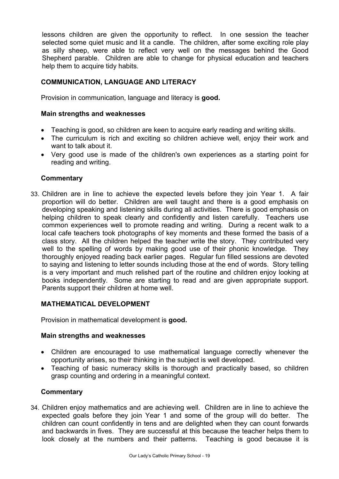lessons children are given the opportunity to reflect. In one session the teacher selected some quiet music and lit a candle. The children, after some exciting role play as silly sheep, were able to reflect very well on the messages behind the Good Shepherd parable. Children are able to change for physical education and teachers help them to acquire tidy habits.

## **COMMUNICATION, LANGUAGE AND LITERACY**

Provision in communication, language and literacy is **good.**

#### **Main strengths and weaknesses**

- Teaching is good, so children are keen to acquire early reading and writing skills.
- The curriculum is rich and exciting so children achieve well, enjoy their work and want to talk about it.
- Very good use is made of the children's own experiences as a starting point for reading and writing.

#### **Commentary**

33. Children are in line to achieve the expected levels before they join Year 1. A fair proportion will do better. Children are well taught and there is a good emphasis on developing speaking and listening skills during all activities. There is good emphasis on helping children to speak clearly and confidently and listen carefully. Teachers use common experiences well to promote reading and writing. During a recent walk to a local cafe teachers took photographs of key moments and these formed the basis of a class story. All the children helped the teacher write the story. They contributed very well to the spelling of words by making good use of their phonic knowledge. They thoroughly enjoyed reading back earlier pages. Regular fun filled sessions are devoted to saying and listening to letter sounds including those at the end of words. Story telling is a very important and much relished part of the routine and children enjoy looking at books independently. Some are starting to read and are given appropriate support. Parents support their children at home well.

#### **MATHEMATICAL DEVELOPMENT**

Provision in mathematical development is **good.**

#### **Main strengths and weaknesses**

- Children are encouraged to use mathematical language correctly whenever the opportunity arises, so their thinking in the subject is well developed.
- Teaching of basic numeracy skills is thorough and practically based, so children grasp counting and ordering in a meaningful context.

#### **Commentary**

34. Children enjoy mathematics and are achieving well. Children are in line to achieve the expected goals before they join Year 1 and some of the group will do better. The children can count confidently in tens and are delighted when they can count forwards and backwards in fives. They are successful at this because the teacher helps them to look closely at the numbers and their patterns. Teaching is good because it is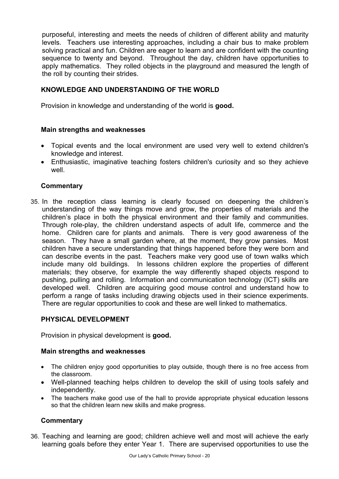purposeful, interesting and meets the needs of children of different ability and maturity levels. Teachers use interesting approaches, including a chair bus to make problem solving practical and fun. Children are eager to learn and are confident with the counting sequence to twenty and beyond. Throughout the day, children have opportunities to apply mathematics. They rolled objects in the playground and measured the length of the roll by counting their strides.

## **KNOWLEDGE AND UNDERSTANDING OF THE WORLD**

Provision in knowledge and understanding of the world is **good.**

## **Main strengths and weaknesses**

- Topical events and the local environment are used very well to extend children's knowledge and interest.
- Enthusiastic, imaginative teaching fosters children's curiosity and so they achieve well.

## **Commentary**

35. In the reception class learning is clearly focused on deepening the children's understanding of the way things move and grow, the properties of materials and the children's place in both the physical environment and their family and communities. Through role-play, the children understand aspects of adult life, commerce and the home. Children care for plants and animals. There is very good awareness of the season. They have a small garden where, at the moment, they grow pansies. Most children have a secure understanding that things happened before they were born and can describe events in the past. Teachers make very good use of town walks which include many old buildings. In lessons children explore the properties of different materials; they observe, for example the way differently shaped objects respond to pushing, pulling and rolling. Information and communication technology (ICT) skills are developed well. Children are acquiring good mouse control and understand how to perform a range of tasks including drawing objects used in their science experiments. There are regular opportunities to cook and these are well linked to mathematics.

## **PHYSICAL DEVELOPMENT**

Provision in physical development is **good.**

#### **Main strengths and weaknesses**

- The children enjoy good opportunities to play outside, though there is no free access from the classroom.
- Well-planned teaching helps children to develop the skill of using tools safely and independently.
- The teachers make good use of the hall to provide appropriate physical education lessons so that the children learn new skills and make progress.

#### **Commentary**

36. Teaching and learning are good; children achieve well and most will achieve the early learning goals before they enter Year 1. There are supervised opportunities to use the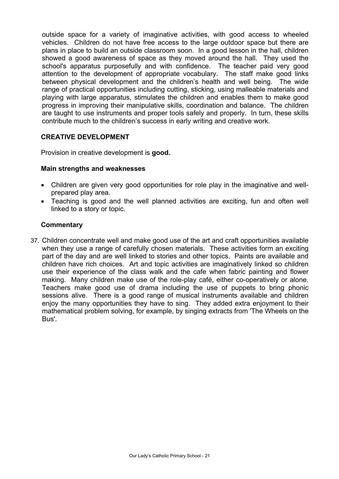outside space for a variety of imaginative activities, with good access to wheeled vehicles. Children do not have free access to the large outdoor space but there are plans in place to build an outside classroom soon. In a good lesson in the hall, children showed a good awareness of space as they moved around the hall. They used the school's apparatus purposefully and with confidence. The teacher paid very good attention to the development of appropriate vocabulary. The staff make good links between physical development and the children's health and well being. The wide range of practical opportunities including cutting, sticking, using malleable materials and playing with large apparatus, stimulates the children and enables them to make good progress in improving their manipulative skills, coordination and balance. The children are taught to use instruments and proper tools safely and properly. In turn, these skills contribute much to the children's success in early writing and creative work.

## **CREATIVE DEVELOPMENT**

Provision in creative development is **good.**

#### **Main strengths and weaknesses**

- Children are given very good opportunities for role play in the imaginative and wellprepared play area.
- Teaching is good and the well planned activities are exciting, fun and often well linked to a story or topic.

## **Commentary**

37. Children concentrate well and make good use of the art and craft opportunities available when they use a range of carefully chosen materials. These activities form an exciting part of the day and are well linked to stories and other topics. Paints are available and children have rich choices. Art and topic activities are imaginatively linked so children use their experience of the class walk and the cafe when fabric painting and flower making. Many children make use of the role-play café, either co-operatively or alone. Teachers make good use of drama including the use of puppets to bring phonic sessions alive. There is a good range of musical instruments available and children enjoy the many opportunities they have to sing. They added extra enjoyment to their mathematical problem solving, for example, by singing extracts from 'The Wheels on the Bus'.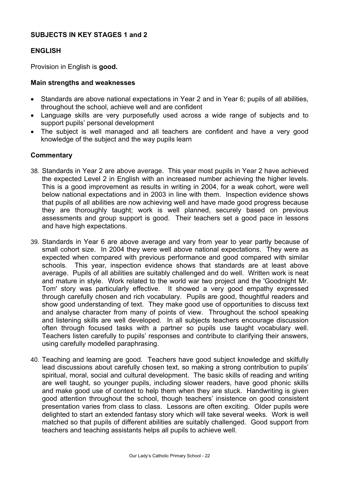#### **SUBJECTS IN KEY STAGES 1 and 2**

#### **ENGLISH**

Provision in English is **good.** 

#### **Main strengths and weaknesses**

- Standards are above national expectations in Year 2 and in Year 6; pupils of all abilities, throughout the school, achieve well and are confident
- Language skills are very purposefully used across a wide range of subjects and to support pupils' personal development
- The subject is well managed and all teachers are confident and have a very good knowledge of the subject and the way pupils learn

#### **Commentary**

- 38. Standards in Year 2 are above average. This year most pupils in Year 2 have achieved the expected Level 2 in English with an increased number achieving the higher levels. This is a good improvement as results in writing in 2004, for a weak cohort, were well below national expectations and in 2003 in line with them. Inspection evidence shows that pupils of all abilities are now achieving well and have made good progress because they are thoroughly taught; work is well planned, securely based on previous assessments and group support is good. Their teachers set a good pace in lessons and have high expectations.
- 39. Standards in Year 6 are above average and vary from year to year partly because of small cohort size. In 2004 they were well above national expectations. They were as expected when compared with previous performance and good compared with similar schools. This year, inspection evidence shows that standards are at least above average. Pupils of all abilities are suitably challenged and do well. Written work is neat and mature in style. Work related to the world war two project and the 'Goodnight Mr. Tom' story was particularly effective. It showed a very good empathy expressed through carefully chosen and rich vocabulary. Pupils are good, thoughtful readers and show good understanding of text. They make good use of opportunities to discuss text and analyse character from many of points of view. Throughout the school speaking and listening skills are well developed. In all subjects teachers encourage discussion often through focused tasks with a partner so pupils use taught vocabulary well. Teachers listen carefully to pupils' responses and contribute to clarifying their answers, using carefully modelled paraphrasing.
- 40. Teaching and learning are good. Teachers have good subject knowledge and skilfully lead discussions about carefully chosen text, so making a strong contribution to pupils' spiritual, moral, social and cultural development. The basic skills of reading and writing are well taught, so younger pupils, including slower readers, have good phonic skills and make good use of context to help them when they are stuck. Handwriting is given good attention throughout the school, though teachers' insistence on good consistent presentation varies from class to class. Lessons are often exciting. Older pupils were delighted to start an extended fantasy story which will take several weeks. Work is well matched so that pupils of different abilities are suitably challenged. Good support from teachers and teaching assistants helps all pupils to achieve well.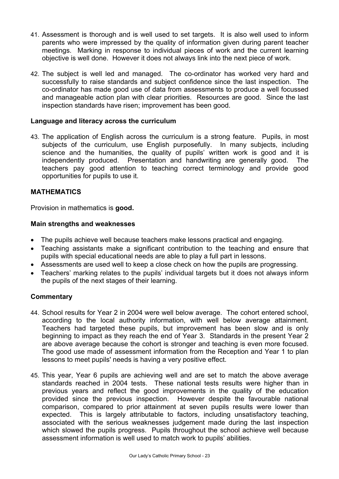- 41. Assessment is thorough and is well used to set targets. It is also well used to inform parents who were impressed by the quality of information given during parent teacher meetings. Marking in response to individual pieces of work and the current learning objective is well done. However it does not always link into the next piece of work.
- 42. The subject is well led and managed. The co-ordinator has worked very hard and successfully to raise standards and subject confidence since the last inspection. The co-ordinator has made good use of data from assessments to produce a well focussed and manageable action plan with clear priorities. Resources are good. Since the last inspection standards have risen; improvement has been good.

#### **Language and literacy across the curriculum**

43. The application of English across the curriculum is a strong feature. Pupils, in most subjects of the curriculum, use English purposefully. In many subjects, including science and the humanities, the quality of pupils' written work is good and it is independently produced. Presentation and handwriting are generally good. The teachers pay good attention to teaching correct terminology and provide good opportunities for pupils to use it.

#### **MATHEMATICS**

Provision in mathematics is **good.**

#### **Main strengths and weaknesses**

- The pupils achieve well because teachers make lessons practical and engaging.
- Teaching assistants make a significant contribution to the teaching and ensure that pupils with special educational needs are able to play a full part in lessons.
- Assessments are used well to keep a close check on how the pupils are progressing.
- Teachers' marking relates to the pupils' individual targets but it does not always inform the pupils of the next stages of their learning.

#### **Commentary**

- 44. School results for Year 2 in 2004 were well below average. The cohort entered school, according to the local authority information, with well below average attainment. Teachers had targeted these pupils, but improvement has been slow and is only beginning to impact as they reach the end of Year 3. Standards in the present Year 2 are above average because the cohort is stronger and teaching is even more focused. The good use made of assessment information from the Reception and Year 1 to plan lessons to meet pupils' needs is having a very positive effect.
- 45. This year, Year 6 pupils are achieving well and are set to match the above average standards reached in 2004 tests. These national tests results were higher than in previous years and reflect the good improvements in the quality of the education provided since the previous inspection. However despite the favourable national comparison, compared to prior attainment at seven pupils results were lower than expected. This is largely attributable to factors, including unsatisfactory teaching, associated with the serious weaknesses judgement made during the last inspection which slowed the pupils progress. Pupils throughout the school achieve well because assessment information is well used to match work to pupils' abilities.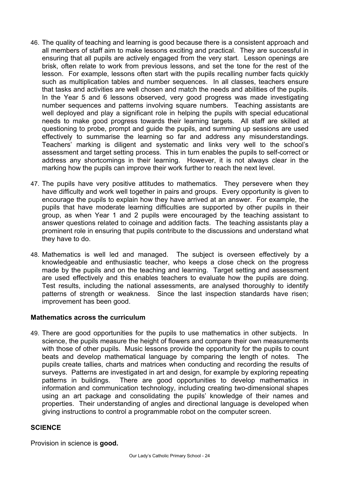- 46. The quality of teaching and learning is good because there is a consistent approach and all members of staff aim to make lessons exciting and practical. They are successful in ensuring that all pupils are actively engaged from the very start. Lesson openings are brisk, often relate to work from previous lessons, and set the tone for the rest of the lesson. For example, lessons often start with the pupils recalling number facts quickly such as multiplication tables and number sequences. In all classes, teachers ensure that tasks and activities are well chosen and match the needs and abilities of the pupils. In the Year 5 and 6 lessons observed, very good progress was made investigating number sequences and patterns involving square numbers. Teaching assistants are well deployed and play a significant role in helping the pupils with special educational needs to make good progress towards their learning targets. All staff are skilled at questioning to probe, prompt and guide the pupils, and summing up sessions are used effectively to summarise the learning so far and address any misunderstandings. Teachers' marking is diligent and systematic and links very well to the school's assessment and target setting process. This in turn enables the pupils to self-correct or address any shortcomings in their learning. However, it is not always clear in the marking how the pupils can improve their work further to reach the next level.
- 47. The pupils have very positive attitudes to mathematics. They persevere when they have difficulty and work well together in pairs and groups. Every opportunity is given to encourage the pupils to explain how they have arrived at an answer. For example, the pupils that have moderate learning difficulties are supported by other pupils in their group, as when Year 1 and 2 pupils were encouraged by the teaching assistant to answer questions related to coinage and addition facts. The teaching assistants play a prominent role in ensuring that pupils contribute to the discussions and understand what they have to do.
- 48. Mathematics is well led and managed. The subject is overseen effectively by a knowledgeable and enthusiastic teacher, who keeps a close check on the progress made by the pupils and on the teaching and learning. Target setting and assessment are used effectively and this enables teachers to evaluate how the pupils are doing. Test results, including the national assessments, are analysed thoroughly to identify patterns of strength or weakness. Since the last inspection standards have risen; improvement has been good.

#### **Mathematics across the curriculum**

49. There are good opportunities for the pupils to use mathematics in other subjects. In science, the pupils measure the height of flowers and compare their own measurements with those of other pupils. Music lessons provide the opportunity for the pupils to count beats and develop mathematical language by comparing the length of notes. The pupils create tallies, charts and matrices when conducting and recording the results of surveys. Patterns are investigated in art and design, for example by exploring repeating patterns in buildings. There are good opportunities to develop mathematics in information and communication technology, including creating two-dimensional shapes using an art package and consolidating the pupils' knowledge of their names and properties. Their understanding of angles and directional language is developed when giving instructions to control a programmable robot on the computer screen.

#### **SCIENCE**

Provision in science is **good.**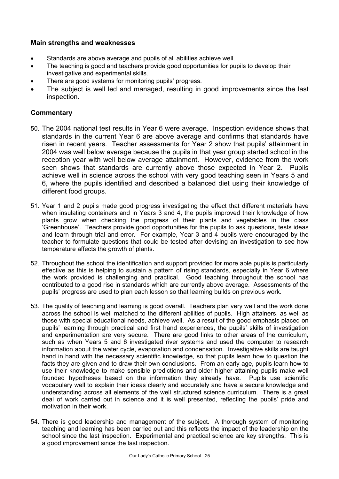#### **Main strengths and weaknesses**

- Standards are above average and pupils of all abilities achieve well.
- The teaching is good and teachers provide good opportunities for pupils to develop their investigative and experimental skills.
- There are good systems for monitoring pupils' progress.
- The subject is well led and managed, resulting in good improvements since the last inspection.

### **Commentary**

- 50. The 2004 national test results in Year 6 were average. Inspection evidence shows that standards in the current Year 6 are above average and confirms that standards have risen in recent years. Teacher assessments for Year 2 show that pupils' attainment in 2004 was well below average because the pupils in that year group started school in the reception year with well below average attainment. However, evidence from the work seen shows that standards are currently above those expected in Year 2. Pupils achieve well in science across the school with very good teaching seen in Years 5 and 6, where the pupils identified and described a balanced diet using their knowledge of different food groups.
- 51. Year 1 and 2 pupils made good progress investigating the effect that different materials have when insulating containers and in Years 3 and 4, the pupils improved their knowledge of how plants grow when checking the progress of their plants and vegetables in the class 'Greenhouse'. Teachers provide good opportunities for the pupils to ask questions, tests ideas and learn through trial and error. For example, Year 3 and 4 pupils were encouraged by the teacher to formulate questions that could be tested after devising an investigation to see how temperature affects the growth of plants.
- 52. Throughout the school the identification and support provided for more able pupils is particularly effective as this is helping to sustain a pattern of rising standards, especially in Year 6 where the work provided is challenging and practical. Good teaching throughout the school has contributed to a good rise in standards which are currently above average. Assessments of the pupils' progress are used to plan each lesson so that learning builds on previous work.
- 53. The quality of teaching and learning is good overall. Teachers plan very well and the work done across the school is well matched to the different abilities of pupils. High attainers, as well as those with special educational needs, achieve well. As a result of the good emphasis placed on pupils' learning through practical and first hand experiences, the pupils' skills of investigation and experimentation are very secure. There are good links to other areas of the curriculum, such as when Years 5 and 6 investigated river systems and used the computer to research information about the water cycle, evaporation and condensation. Investigative skills are taught hand in hand with the necessary scientific knowledge, so that pupils learn how to question the facts they are given and to draw their own conclusions. From an early age, pupils learn how to use their knowledge to make sensible predictions and older higher attaining pupils make well founded hypotheses based on the information they already have. Pupils use scientific vocabulary well to explain their ideas clearly and accurately and have a secure knowledge and understanding across all elements of the well structured science curriculum. There is a great deal of work carried out in science and it is well presented, reflecting the pupils' pride and motivation in their work.
- 54. There is good leadership and management of the subject. A thorough system of monitoring teaching and learning has been carried out and this reflects the impact of the leadership on the school since the last inspection. Experimental and practical science are key strengths. This is a good improvement since the last inspection.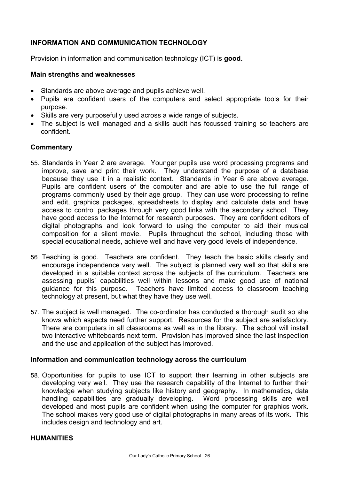## **INFORMATION AND COMMUNICATION TECHNOLOGY**

Provision in information and communication technology (ICT) is **good.** 

#### **Main strengths and weaknesses**

- Standards are above average and pupils achieve well.
- Pupils are confident users of the computers and select appropriate tools for their purpose.
- Skills are very purposefully used across a wide range of subjects.
- The subiect is well managed and a skills audit has focussed training so teachers are confident.

#### **Commentary**

- 55. Standards in Year 2 are average. Younger pupils use word processing programs and improve, save and print their work. They understand the purpose of a database because they use it in a realistic context. Standards in Year 6 are above average. Pupils are confident users of the computer and are able to use the full range of programs commonly used by their age group. They can use word processing to refine and edit, graphics packages, spreadsheets to display and calculate data and have access to control packages through very good links with the secondary school. They have good access to the Internet for research purposes. They are confident editors of digital photographs and look forward to using the computer to aid their musical composition for a silent movie. Pupils throughout the school, including those with special educational needs, achieve well and have very good levels of independence.
- 56. Teaching is good. Teachers are confident. They teach the basic skills clearly and encourage independence very well. The subject is planned very well so that skills are developed in a suitable context across the subjects of the curriculum. Teachers are assessing pupils' capabilities well within lessons and make good use of national guidance for this purpose. Teachers have limited access to classroom teaching technology at present, but what they have they use well.
- 57. The subject is well managed. The co-ordinator has conducted a thorough audit so she knows which aspects need further support. Resources for the subject are satisfactory. There are computers in all classrooms as well as in the library. The school will install two interactive whiteboards next term. Provision has improved since the last inspection and the use and application of the subject has improved.

#### **Information and communication technology across the curriculum**

58. Opportunities for pupils to use ICT to support their learning in other subjects are developing very well. They use the research capability of the Internet to further their knowledge when studying subjects like history and geography. In mathematics, data handling capabilities are gradually developing. Word processing skills are well developed and most pupils are confident when using the computer for graphics work. The school makes very good use of digital photographs in many areas of its work. This includes design and technology and art.

#### **HUMANITIES**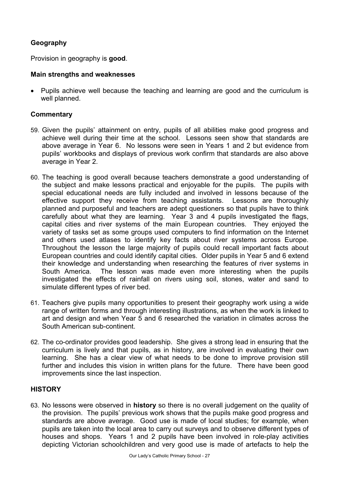## **Geography**

Provision in geography is **good**.

#### **Main strengths and weaknesses**

• Pupils achieve well because the teaching and learning are good and the curriculum is well planned.

#### **Commentary**

- 59. Given the pupils' attainment on entry, pupils of all abilities make good progress and achieve well during their time at the school. Lessons seen show that standards are above average in Year 6. No lessons were seen in Years 1 and 2 but evidence from pupils' workbooks and displays of previous work confirm that standards are also above average in Year 2.
- 60. The teaching is good overall because teachers demonstrate a good understanding of the subject and make lessons practical and enjoyable for the pupils. The pupils with special educational needs are fully included and involved in lessons because of the effective support they receive from teaching assistants. Lessons are thoroughly planned and purposeful and teachers are adept questioners so that pupils have to think carefully about what they are learning. Year 3 and 4 pupils investigated the flags, capital cities and river systems of the main European countries. They enjoyed the variety of tasks set as some groups used computers to find information on the Internet and others used atlases to identify key facts about river systems across Europe. Throughout the lesson the large majority of pupils could recall important facts about European countries and could identify capital cities. Older pupils in Year 5 and 6 extend their knowledge and understanding when researching the features of river systems in South America. The lesson was made even more interesting when the pupils investigated the effects of rainfall on rivers using soil, stones, water and sand to simulate different types of river bed.
- 61. Teachers give pupils many opportunities to present their geography work using a wide range of written forms and through interesting illustrations, as when the work is linked to art and design and when Year 5 and 6 researched the variation in climates across the South American sub-continent.
- 62. The co-ordinator provides good leadership. She gives a strong lead in ensuring that the curriculum is lively and that pupils, as in history, are involved in evaluating their own learning. She has a clear view of what needs to be done to improve provision still further and includes this vision in written plans for the future. There have been good improvements since the last inspection.

#### **HISTORY**

63. No lessons were observed in **history** so there is no overall judgement on the quality of the provision. The pupils' previous work shows that the pupils make good progress and standards are above average. Good use is made of local studies; for example, when pupils are taken into the local area to carry out surveys and to observe different types of houses and shops. Years 1 and 2 pupils have been involved in role-play activities depicting Victorian schoolchildren and very good use is made of artefacts to help the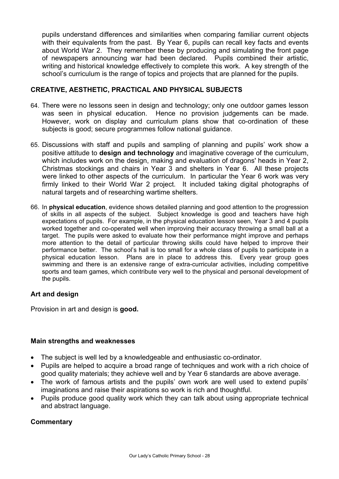pupils understand differences and similarities when comparing familiar current objects with their equivalents from the past. By Year 6, pupils can recall key facts and events about World War 2. They remember these by producing and simulating the front page of newspapers announcing war had been declared. Pupils combined their artistic, writing and historical knowledge effectively to complete this work. A key strength of the school's curriculum is the range of topics and projects that are planned for the pupils.

## **CREATIVE, AESTHETIC, PRACTICAL AND PHYSICAL SUBJECTS**

- 64. There were no lessons seen in design and technology; only one outdoor games lesson was seen in physical education. Hence no provision judgements can be made. However, work on display and curriculum plans show that co-ordination of these subjects is good; secure programmes follow national guidance.
- 65. Discussions with staff and pupils and sampling of planning and pupils' work show a positive attitude to **design and technology** and imaginative coverage of the curriculum, which includes work on the design, making and evaluation of dragons' heads in Year 2. Christmas stockings and chairs in Year 3 and shelters in Year 6. All these projects were linked to other aspects of the curriculum. In particular the Year 6 work was very firmly linked to their World War 2 project. It included taking digital photographs of natural targets and of researching wartime shelters.
- 66. In **physical education**, evidence shows detailed planning and good attention to the progression of skills in all aspects of the subject. Subject knowledge is good and teachers have high expectations of pupils. For example, in the physical education lesson seen, Year 3 and 4 pupils worked together and co-operated well when improving their accuracy throwing a small ball at a target. The pupils were asked to evaluate how their performance might improve and perhaps more attention to the detail of particular throwing skills could have helped to improve their performance better. The school's hall is too small for a whole class of pupils to participate in a physical education lesson. Plans are in place to address this. Every year group goes swimming and there is an extensive range of extra-curricular activities, including competitive sports and team games, which contribute very well to the physical and personal development of the pupils.

#### **Art and design**

Provision in art and design is **good.** 

#### **Main strengths and weaknesses**

- The subject is well led by a knowledgeable and enthusiastic co-ordinator.
- Pupils are helped to acquire a broad range of techniques and work with a rich choice of good quality materials; they achieve well and by Year 6 standards are above average.
- The work of famous artists and the pupils' own work are well used to extend pupils' imaginations and raise their aspirations so work is rich and thoughtful.
- Pupils produce good quality work which they can talk about using appropriate technical and abstract language.

#### **Commentary**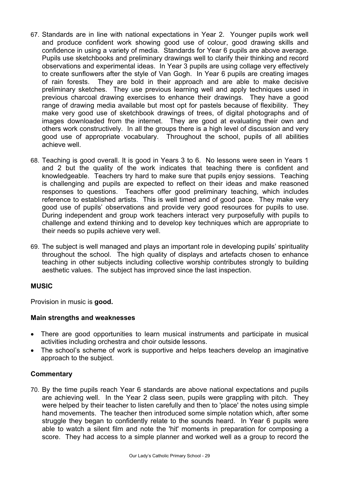- 67. Standards are in line with national expectations in Year 2. Younger pupils work well and produce confident work showing good use of colour, good drawing skills and confidence in using a variety of media. Standards for Year 6 pupils are above average. Pupils use sketchbooks and preliminary drawings well to clarify their thinking and record observations and experimental ideas. In Year 3 pupils are using collage very effectively to create sunflowers after the style of Van Gogh. In Year 6 pupils are creating images of rain forests. They are bold in their approach and are able to make decisive preliminary sketches. They use previous learning well and apply techniques used in previous charcoal drawing exercises to enhance their drawings. They have a good range of drawing media available but most opt for pastels because of flexibility. They make very good use of sketchbook drawings of trees, of digital photographs and of images downloaded from the internet. They are good at evaluating their own and others work constructively. In all the groups there is a high level of discussion and very good use of appropriate vocabulary. Throughout the school, pupils of all abilities achieve well.
- 68. Teaching is good overall. It is good in Years 3 to 6. No lessons were seen in Years 1 and 2 but the quality of the work indicates that teaching there is confident and knowledgeable. Teachers try hard to make sure that pupils enjoy sessions. Teaching is challenging and pupils are expected to reflect on their ideas and make reasoned responses to questions. Teachers offer good preliminary teaching, which includes reference to established artists. This is well timed and of good pace. They make very good use of pupils' observations and provide very good resources for pupils to use. During independent and group work teachers interact very purposefully with pupils to challenge and extend thinking and to develop key techniques which are appropriate to their needs so pupils achieve very well.
- 69. The subject is well managed and plays an important role in developing pupils' spirituality throughout the school. The high quality of displays and artefacts chosen to enhance teaching in other subjects including collective worship contributes strongly to building aesthetic values. The subject has improved since the last inspection.

#### **MUSIC**

Provision in music is **good.** 

#### **Main strengths and weaknesses**

- There are good opportunities to learn musical instruments and participate in musical activities including orchestra and choir outside lessons.
- The school's scheme of work is supportive and helps teachers develop an imaginative approach to the subject.

#### **Commentary**

70. By the time pupils reach Year 6 standards are above national expectations and pupils are achieving well. In the Year 2 class seen, pupils were grappling with pitch. They were helped by their teacher to listen carefully and then to 'place' the notes using simple hand movements. The teacher then introduced some simple notation which, after some struggle they began to confidently relate to the sounds heard. In Year 6 pupils were able to watch a silent film and note the 'hit' moments in preparation for composing a score. They had access to a simple planner and worked well as a group to record the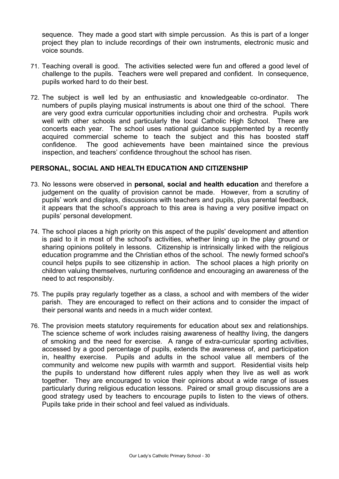sequence. They made a good start with simple percussion. As this is part of a longer project they plan to include recordings of their own instruments, electronic music and voice sounds.

- 71. Teaching overall is good. The activities selected were fun and offered a good level of challenge to the pupils. Teachers were well prepared and confident. In consequence, pupils worked hard to do their best.
- 72. The subject is well led by an enthusiastic and knowledgeable co-ordinator. The numbers of pupils playing musical instruments is about one third of the school. There are very good extra curricular opportunities including choir and orchestra. Pupils work well with other schools and particularly the local Catholic High School. There are concerts each year. The school uses national guidance supplemented by a recently acquired commercial scheme to teach the subject and this has boosted staff confidence. The good achievements have been maintained since the previous inspection, and teachers' confidence throughout the school has risen.

## **PERSONAL, SOCIAL AND HEALTH EDUCATION AND CITIZENSHIP**

- 73. No lessons were observed in **personal, social and health education** and therefore a judgement on the quality of provision cannot be made. However, from a scrutiny of pupils' work and displays, discussions with teachers and pupils, plus parental feedback, it appears that the school's approach to this area is having a very positive impact on pupils' personal development.
- 74. The school places a high priority on this aspect of the pupils' development and attention is paid to it in most of the school's activities, whether lining up in the play ground or sharing opinions politely in lessons. Citizenship is intrinsically linked with the religious education programme and the Christian ethos of the school. The newly formed school's council helps pupils to see citizenship in action. The school places a high priority on children valuing themselves, nurturing confidence and encouraging an awareness of the need to act responsibly.
- 75. The pupils pray regularly together as a class, a school and with members of the wider parish. They are encouraged to reflect on their actions and to consider the impact of their personal wants and needs in a much wider context.
- 76. The provision meets statutory requirements for education about sex and relationships. The science scheme of work includes raising awareness of healthy living, the dangers of smoking and the need for exercise. A range of extra-curricular sporting activities, accessed by a good percentage of pupils, extends the awareness of, and participation in, healthy exercise. Pupils and adults in the school value all members of the community and welcome new pupils with warmth and support. Residential visits help the pupils to understand how different rules apply when they live as well as work together. They are encouraged to voice their opinions about a wide range of issues particularly during religious education lessons. Paired or small group discussions are a good strategy used by teachers to encourage pupils to listen to the views of others. Pupils take pride in their school and feel valued as individuals.